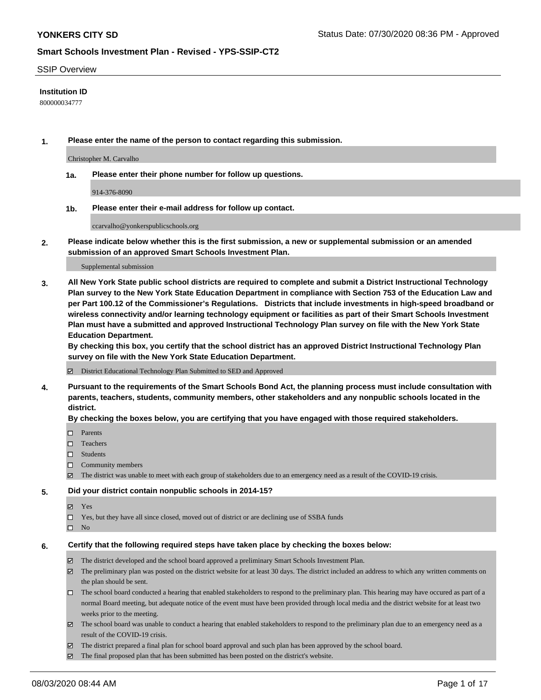#### SSIP Overview

### **Institution ID**

800000034777

**1. Please enter the name of the person to contact regarding this submission.**

Christopher M. Carvalho

**1a. Please enter their phone number for follow up questions.**

914-376-8090

**1b. Please enter their e-mail address for follow up contact.**

ccarvalho@yonkerspublicschools.org

**2. Please indicate below whether this is the first submission, a new or supplemental submission or an amended submission of an approved Smart Schools Investment Plan.**

#### Supplemental submission

**3. All New York State public school districts are required to complete and submit a District Instructional Technology Plan survey to the New York State Education Department in compliance with Section 753 of the Education Law and per Part 100.12 of the Commissioner's Regulations. Districts that include investments in high-speed broadband or wireless connectivity and/or learning technology equipment or facilities as part of their Smart Schools Investment Plan must have a submitted and approved Instructional Technology Plan survey on file with the New York State Education Department.** 

**By checking this box, you certify that the school district has an approved District Instructional Technology Plan survey on file with the New York State Education Department.**

District Educational Technology Plan Submitted to SED and Approved

**4. Pursuant to the requirements of the Smart Schools Bond Act, the planning process must include consultation with parents, teachers, students, community members, other stakeholders and any nonpublic schools located in the district.** 

#### **By checking the boxes below, you are certifying that you have engaged with those required stakeholders.**

- **D** Parents
- □ Teachers
- □ Students
- $\Box$  Community members
- The district was unable to meet with each group of stakeholders due to an emergency need as a result of the COVID-19 crisis.

#### **5. Did your district contain nonpublic schools in 2014-15?**

- **冈** Yes
- Yes, but they have all since closed, moved out of district or are declining use of SSBA funds
- $\square$  No

#### **6. Certify that the following required steps have taken place by checking the boxes below:**

- The district developed and the school board approved a preliminary Smart Schools Investment Plan.
- $\boxtimes$  The preliminary plan was posted on the district website for at least 30 days. The district included an address to which any written comments on the plan should be sent.
- The school board conducted a hearing that enabled stakeholders to respond to the preliminary plan. This hearing may have occured as part of a normal Board meeting, but adequate notice of the event must have been provided through local media and the district website for at least two weeks prior to the meeting.
- The school board was unable to conduct a hearing that enabled stakeholders to respond to the preliminary plan due to an emergency need as a result of the COVID-19 crisis.
- The district prepared a final plan for school board approval and such plan has been approved by the school board.
- $\boxtimes$  The final proposed plan that has been submitted has been posted on the district's website.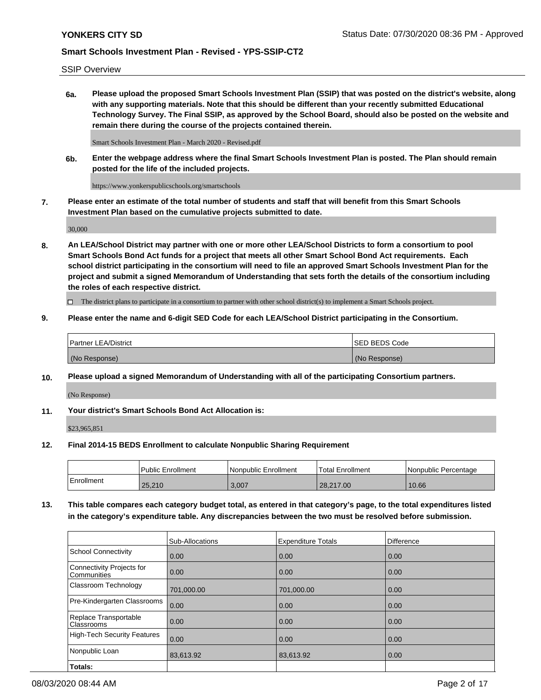SSIP Overview

**6a. Please upload the proposed Smart Schools Investment Plan (SSIP) that was posted on the district's website, along with any supporting materials. Note that this should be different than your recently submitted Educational Technology Survey. The Final SSIP, as approved by the School Board, should also be posted on the website and remain there during the course of the projects contained therein.**

Smart Schools Investment Plan - March 2020 - Revised.pdf

**6b. Enter the webpage address where the final Smart Schools Investment Plan is posted. The Plan should remain posted for the life of the included projects.**

https://www.yonkerspublicschools.org/smartschools

**7. Please enter an estimate of the total number of students and staff that will benefit from this Smart Schools Investment Plan based on the cumulative projects submitted to date.**

30,000

**8. An LEA/School District may partner with one or more other LEA/School Districts to form a consortium to pool Smart Schools Bond Act funds for a project that meets all other Smart School Bond Act requirements. Each school district participating in the consortium will need to file an approved Smart Schools Investment Plan for the project and submit a signed Memorandum of Understanding that sets forth the details of the consortium including the roles of each respective district.**

 $\Box$  The district plans to participate in a consortium to partner with other school district(s) to implement a Smart Schools project.

## **9. Please enter the name and 6-digit SED Code for each LEA/School District participating in the Consortium.**

| Partner LEA/District | <b>ISED BEDS Code</b> |
|----------------------|-----------------------|
| (No Response)        | (No Response)         |

### **10. Please upload a signed Memorandum of Understanding with all of the participating Consortium partners.**

(No Response)

**11. Your district's Smart Schools Bond Act Allocation is:**

\$23,965,851

### **12. Final 2014-15 BEDS Enrollment to calculate Nonpublic Sharing Requirement**

|            | Public Enrollment | Nonpublic Enrollment | Total Enrollment | I Nonpublic Percentage |
|------------|-------------------|----------------------|------------------|------------------------|
| Enrollment | 25,210            | 3.007                | 28.217.00        | 10.66                  |

**13. This table compares each category budget total, as entered in that category's page, to the total expenditures listed in the category's expenditure table. Any discrepancies between the two must be resolved before submission.**

|                                          | Sub-Allocations | <b>Expenditure Totals</b> | <b>Difference</b> |
|------------------------------------------|-----------------|---------------------------|-------------------|
| <b>School Connectivity</b>               | 0.00            | 0.00                      | 0.00              |
| Connectivity Projects for<br>Communities | 0.00            | 0.00                      | 0.00              |
| Classroom Technology                     | 701,000.00      | 701,000.00                | 0.00              |
| Pre-Kindergarten Classrooms              | 0.00            | 0.00                      | 0.00              |
| Replace Transportable<br>Classrooms      | 0.00            | 0.00                      | 0.00              |
| <b>High-Tech Security Features</b>       | 0.00            | 0.00                      | 0.00              |
| Nonpublic Loan                           | 83,613.92       | 83,613.92                 | 0.00              |
| Totals:                                  |                 |                           |                   |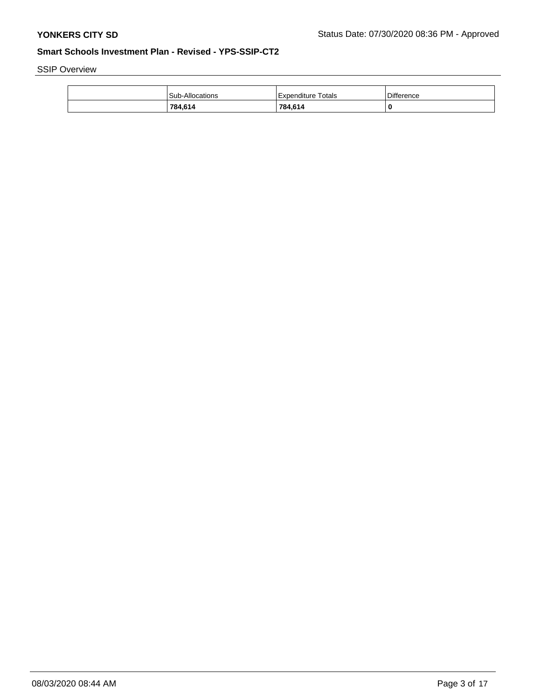SSIP Overview

| 784,614         | 784.614            |                   |
|-----------------|--------------------|-------------------|
| Sub-Allocations | Expenditure Totals | <b>Difference</b> |
|                 |                    |                   |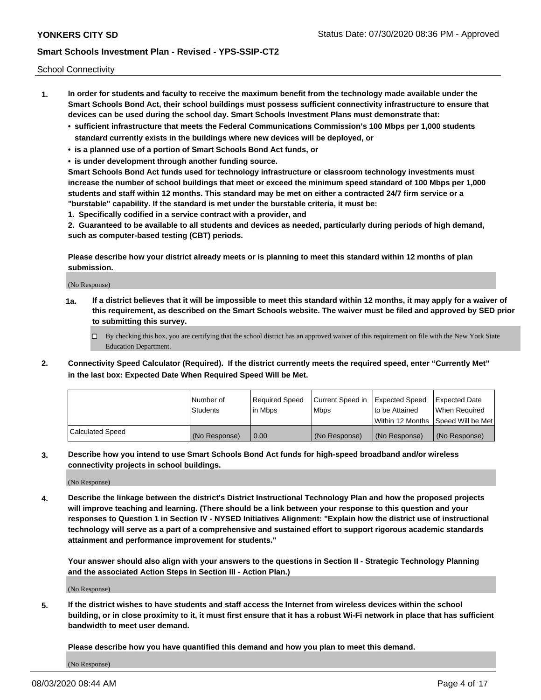School Connectivity

- **1. In order for students and faculty to receive the maximum benefit from the technology made available under the Smart Schools Bond Act, their school buildings must possess sufficient connectivity infrastructure to ensure that devices can be used during the school day. Smart Schools Investment Plans must demonstrate that:**
	- **• sufficient infrastructure that meets the Federal Communications Commission's 100 Mbps per 1,000 students standard currently exists in the buildings where new devices will be deployed, or**
	- **• is a planned use of a portion of Smart Schools Bond Act funds, or**
	- **• is under development through another funding source.**

**Smart Schools Bond Act funds used for technology infrastructure or classroom technology investments must increase the number of school buildings that meet or exceed the minimum speed standard of 100 Mbps per 1,000 students and staff within 12 months. This standard may be met on either a contracted 24/7 firm service or a "burstable" capability. If the standard is met under the burstable criteria, it must be:**

**1. Specifically codified in a service contract with a provider, and**

**2. Guaranteed to be available to all students and devices as needed, particularly during periods of high demand, such as computer-based testing (CBT) periods.**

**Please describe how your district already meets or is planning to meet this standard within 12 months of plan submission.**

(No Response)

**1a. If a district believes that it will be impossible to meet this standard within 12 months, it may apply for a waiver of this requirement, as described on the Smart Schools website. The waiver must be filed and approved by SED prior to submitting this survey.**

 $\Box$  By checking this box, you are certifying that the school district has an approved waiver of this requirement on file with the New York State Education Department.

**2. Connectivity Speed Calculator (Required). If the district currently meets the required speed, enter "Currently Met" in the last box: Expected Date When Required Speed Will be Met.**

|                  | l Number of     | Required Speed | Current Speed in | Expected Speed  | Expected Date                           |
|------------------|-----------------|----------------|------------------|-----------------|-----------------------------------------|
|                  | <b>Students</b> | In Mbps        | l Mbps           | to be Attained  | When Required                           |
|                  |                 |                |                  |                 | l Within 12 Months ISpeed Will be Met l |
| Calculated Speed | (No Response)   | 0.00           | (No Response)    | l (No Response) | l (No Response)                         |

**3. Describe how you intend to use Smart Schools Bond Act funds for high-speed broadband and/or wireless connectivity projects in school buildings.**

(No Response)

**4. Describe the linkage between the district's District Instructional Technology Plan and how the proposed projects will improve teaching and learning. (There should be a link between your response to this question and your responses to Question 1 in Section IV - NYSED Initiatives Alignment: "Explain how the district use of instructional technology will serve as a part of a comprehensive and sustained effort to support rigorous academic standards attainment and performance improvement for students."** 

**Your answer should also align with your answers to the questions in Section II - Strategic Technology Planning and the associated Action Steps in Section III - Action Plan.)**

(No Response)

**5. If the district wishes to have students and staff access the Internet from wireless devices within the school building, or in close proximity to it, it must first ensure that it has a robust Wi-Fi network in place that has sufficient bandwidth to meet user demand.**

**Please describe how you have quantified this demand and how you plan to meet this demand.**

(No Response)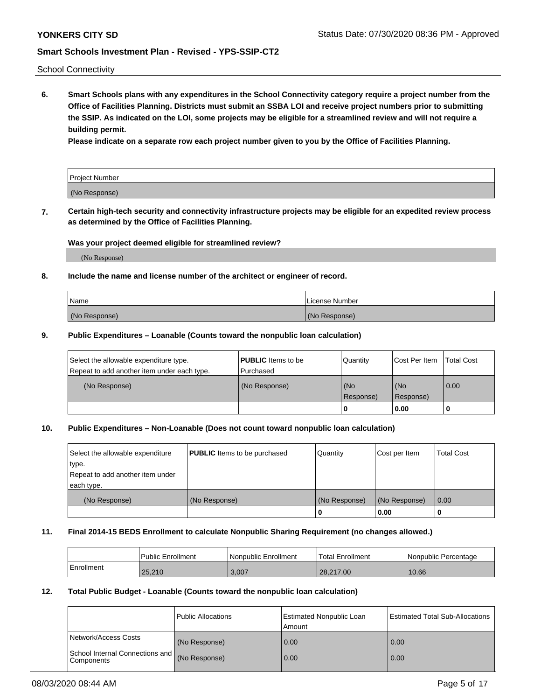School Connectivity

**6. Smart Schools plans with any expenditures in the School Connectivity category require a project number from the Office of Facilities Planning. Districts must submit an SSBA LOI and receive project numbers prior to submitting the SSIP. As indicated on the LOI, some projects may be eligible for a streamlined review and will not require a building permit.**

**Please indicate on a separate row each project number given to you by the Office of Facilities Planning.**

| Project Number |  |
|----------------|--|
| (No Response)  |  |

**7. Certain high-tech security and connectivity infrastructure projects may be eligible for an expedited review process as determined by the Office of Facilities Planning.**

### **Was your project deemed eligible for streamlined review?**

(No Response)

### **8. Include the name and license number of the architect or engineer of record.**

| Name          | License Number |
|---------------|----------------|
| (No Response) | (No Response)  |

### **9. Public Expenditures – Loanable (Counts toward the nonpublic loan calculation)**

| Select the allowable expenditure type.<br>Repeat to add another item under each type. | <b>PUBLIC</b> Items to be<br>l Purchased | Quantity           | Cost Per Item    | <b>Total Cost</b> |
|---------------------------------------------------------------------------------------|------------------------------------------|--------------------|------------------|-------------------|
| (No Response)                                                                         | (No Response)                            | l (No<br>Response) | (No<br>Response) | $\overline{0.00}$ |
|                                                                                       |                                          | O                  | 0.00             |                   |

## **10. Public Expenditures – Non-Loanable (Does not count toward nonpublic loan calculation)**

| Select the allowable expenditure<br>type.<br>Repeat to add another item under<br>each type. | <b>PUBLIC</b> Items to be purchased | Quantity      | Cost per Item | <b>Total Cost</b> |
|---------------------------------------------------------------------------------------------|-------------------------------------|---------------|---------------|-------------------|
| (No Response)                                                                               | (No Response)                       | (No Response) | (No Response) | 0.00              |
|                                                                                             |                                     |               | 0.00          |                   |

#### **11. Final 2014-15 BEDS Enrollment to calculate Nonpublic Sharing Requirement (no changes allowed.)**

|            | l Public Enrollment | Nonpublic Enrollment | 'Total Enrollment | Nonpublic Percentage |
|------------|---------------------|----------------------|-------------------|----------------------|
| Enrollment | 25.210              | 3,007                | 28.217.00         | 10.66                |

### **12. Total Public Budget - Loanable (Counts toward the nonpublic loan calculation)**

|                                                      | Public Allocations | <b>Estimated Nonpublic Loan</b><br>Amount | Estimated Total Sub-Allocations |
|------------------------------------------------------|--------------------|-------------------------------------------|---------------------------------|
| Network/Access Costs                                 | (No Response)      | 0.00                                      | 0.00                            |
| School Internal Connections and<br><b>Components</b> | (No Response)      | 0.00                                      | 0.00                            |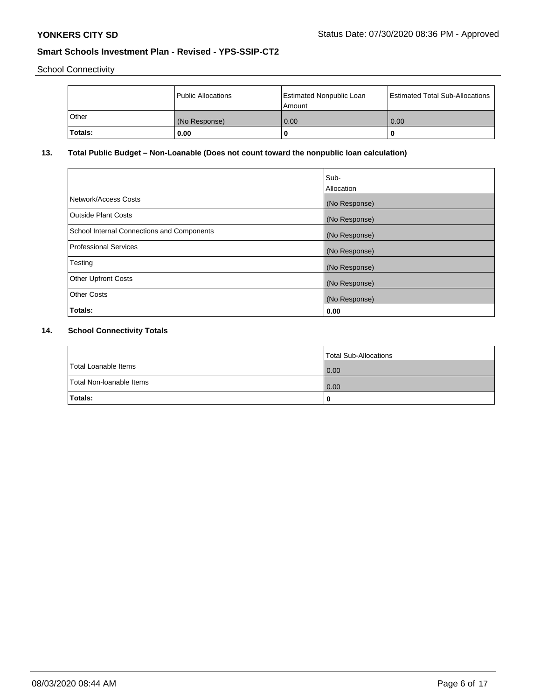School Connectivity

|         | Public Allocations | <b>Estimated Nonpublic Loan</b><br>l Amount | <b>Estimated Total Sub-Allocations</b> |
|---------|--------------------|---------------------------------------------|----------------------------------------|
| l Other | (No Response)      | 0.00                                        | 0.00                                   |
| Totals: | 0.00               | 0                                           |                                        |

# **13. Total Public Budget – Non-Loanable (Does not count toward the nonpublic loan calculation)**

|                                                   | Sub-<br>Allocation |
|---------------------------------------------------|--------------------|
| Network/Access Costs                              | (No Response)      |
| Outside Plant Costs                               | (No Response)      |
| <b>School Internal Connections and Components</b> | (No Response)      |
| <b>Professional Services</b>                      | (No Response)      |
| Testing                                           | (No Response)      |
| <b>Other Upfront Costs</b>                        | (No Response)      |
| <b>Other Costs</b>                                | (No Response)      |
| Totals:                                           | 0.00               |

# **14. School Connectivity Totals**

|                          | Total Sub-Allocations |
|--------------------------|-----------------------|
| Total Loanable Items     | 0.00                  |
| Total Non-Ioanable Items | 0.00                  |
| Totals:                  | 0                     |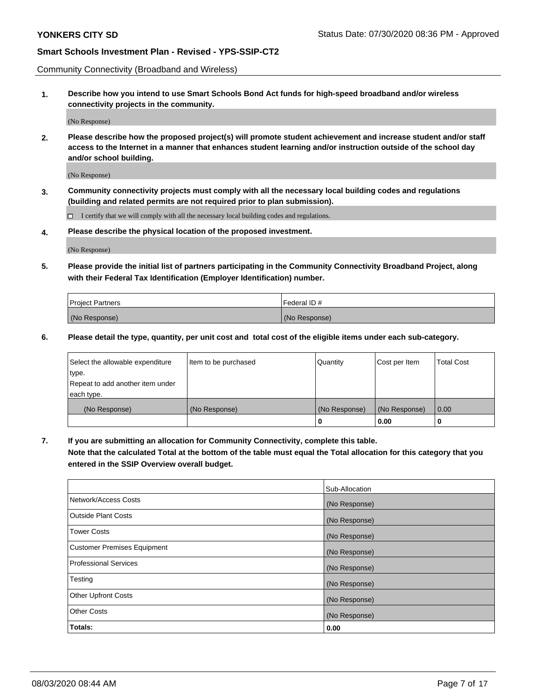Community Connectivity (Broadband and Wireless)

**1. Describe how you intend to use Smart Schools Bond Act funds for high-speed broadband and/or wireless connectivity projects in the community.**

(No Response)

**2. Please describe how the proposed project(s) will promote student achievement and increase student and/or staff access to the Internet in a manner that enhances student learning and/or instruction outside of the school day and/or school building.**

(No Response)

**3. Community connectivity projects must comply with all the necessary local building codes and regulations (building and related permits are not required prior to plan submission).**

 $\Box$  I certify that we will comply with all the necessary local building codes and regulations.

**4. Please describe the physical location of the proposed investment.**

(No Response)

**5. Please provide the initial list of partners participating in the Community Connectivity Broadband Project, along with their Federal Tax Identification (Employer Identification) number.**

| <b>Project Partners</b> | l Federal ID # |
|-------------------------|----------------|
| (No Response)           | (No Response)  |

**6. Please detail the type, quantity, per unit cost and total cost of the eligible items under each sub-category.**

| Select the allowable expenditure | Item to be purchased | Quantity      | Cost per Item | <b>Total Cost</b> |
|----------------------------------|----------------------|---------------|---------------|-------------------|
| type.                            |                      |               |               |                   |
| Repeat to add another item under |                      |               |               |                   |
| each type.                       |                      |               |               |                   |
| (No Response)                    | (No Response)        | (No Response) | (No Response) | 0.00              |
|                                  |                      | o             | 0.00          |                   |

**7. If you are submitting an allocation for Community Connectivity, complete this table.**

**Note that the calculated Total at the bottom of the table must equal the Total allocation for this category that you entered in the SSIP Overview overall budget.**

|                                    | Sub-Allocation |
|------------------------------------|----------------|
| Network/Access Costs               | (No Response)  |
| Outside Plant Costs                | (No Response)  |
| <b>Tower Costs</b>                 | (No Response)  |
| <b>Customer Premises Equipment</b> | (No Response)  |
| <b>Professional Services</b>       | (No Response)  |
| Testing                            | (No Response)  |
| <b>Other Upfront Costs</b>         | (No Response)  |
| <b>Other Costs</b>                 | (No Response)  |
| Totals:                            | 0.00           |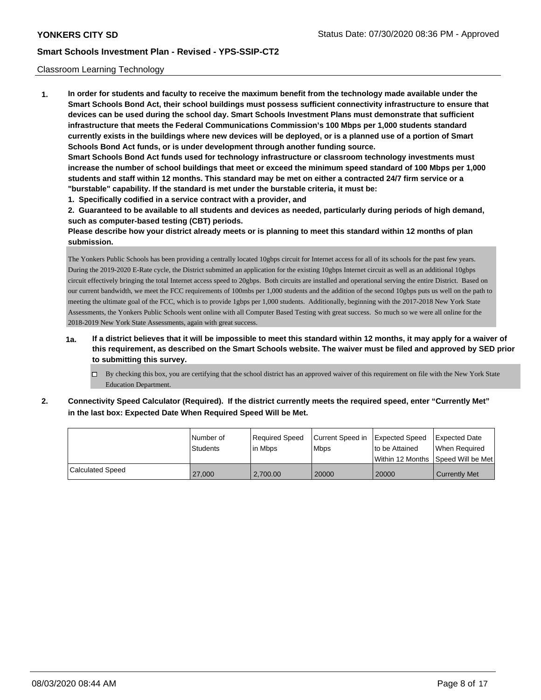### Classroom Learning Technology

**1. In order for students and faculty to receive the maximum benefit from the technology made available under the Smart Schools Bond Act, their school buildings must possess sufficient connectivity infrastructure to ensure that devices can be used during the school day. Smart Schools Investment Plans must demonstrate that sufficient infrastructure that meets the Federal Communications Commission's 100 Mbps per 1,000 students standard currently exists in the buildings where new devices will be deployed, or is a planned use of a portion of Smart Schools Bond Act funds, or is under development through another funding source. Smart Schools Bond Act funds used for technology infrastructure or classroom technology investments must increase the number of school buildings that meet or exceed the minimum speed standard of 100 Mbps per 1,000 students and staff within 12 months. This standard may be met on either a contracted 24/7 firm service or a "burstable" capability. If the standard is met under the burstable criteria, it must be:**

**1. Specifically codified in a service contract with a provider, and**

**2. Guaranteed to be available to all students and devices as needed, particularly during periods of high demand, such as computer-based testing (CBT) periods.**

**Please describe how your district already meets or is planning to meet this standard within 12 months of plan submission.**

The Yonkers Public Schools has been providing a centrally located 10gbps circuit for Internet access for all of its schools for the past few years. During the 2019-2020 E-Rate cycle, the District submitted an application for the existing 10gbps Internet circuit as well as an additional 10gbps circuit effectively bringing the total Internet access speed to 20gbps. Both circuits are installed and operational serving the entire District. Based on our current bandwidth, we meet the FCC requirements of 100mbs per 1,000 students and the addition of the second 10gbps puts us well on the path to meeting the ultimate goal of the FCC, which is to provide 1gbps per 1,000 students. Additionally, beginning with the 2017-2018 New York State Assessments, the Yonkers Public Schools went online with all Computer Based Testing with great success. So much so we were all online for the 2018-2019 New York State Assessments, again with great success.

- **1a. If a district believes that it will be impossible to meet this standard within 12 months, it may apply for a waiver of this requirement, as described on the Smart Schools website. The waiver must be filed and approved by SED prior to submitting this survey.**
	- By checking this box, you are certifying that the school district has an approved waiver of this requirement on file with the New York State Education Department.
- **2. Connectivity Speed Calculator (Required). If the district currently meets the required speed, enter "Currently Met" in the last box: Expected Date When Required Speed Will be Met.**

|                  | l Number of<br><b>Students</b> | Required Speed<br>lin Mbps | Current Speed in<br><b>Mbps</b> | <b>Expected Speed</b><br>to be Attained<br>Within 12 Months 1Speed Will be Met | <b>Expected Date</b><br>When Required |
|------------------|--------------------------------|----------------------------|---------------------------------|--------------------------------------------------------------------------------|---------------------------------------|
| Calculated Speed | 27,000                         | 2.700.00                   | 20000                           | 20000                                                                          | <b>Currently Met</b>                  |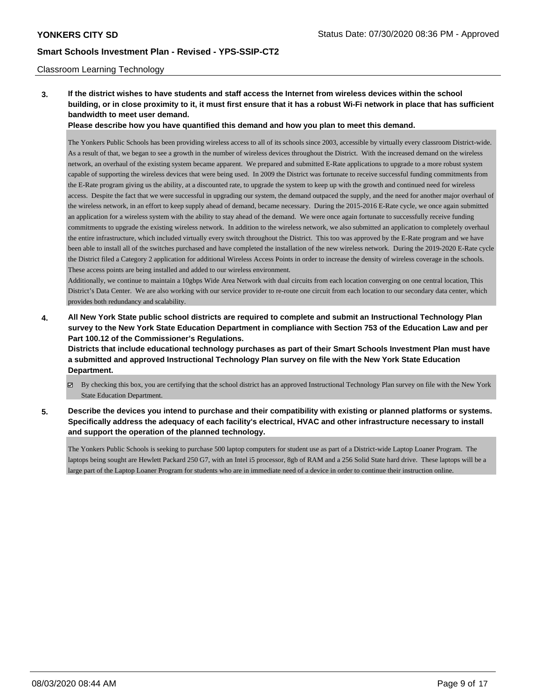### Classroom Learning Technology

**3. If the district wishes to have students and staff access the Internet from wireless devices within the school building, or in close proximity to it, it must first ensure that it has a robust Wi-Fi network in place that has sufficient bandwidth to meet user demand.**

**Please describe how you have quantified this demand and how you plan to meet this demand.**

The Yonkers Public Schools has been providing wireless access to all of its schools since 2003, accessible by virtually every classroom District-wide. As a result of that, we began to see a growth in the number of wireless devices throughout the District. With the increased demand on the wireless network, an overhaul of the existing system became apparent. We prepared and submitted E-Rate applications to upgrade to a more robust system capable of supporting the wireless devices that were being used. In 2009 the District was fortunate to receive successful funding commitments from the E-Rate program giving us the ability, at a discounted rate, to upgrade the system to keep up with the growth and continued need for wireless access. Despite the fact that we were successful in upgrading our system, the demand outpaced the supply, and the need for another major overhaul of the wireless network, in an effort to keep supply ahead of demand, became necessary. During the 2015-2016 E-Rate cycle, we once again submitted an application for a wireless system with the ability to stay ahead of the demand. We were once again fortunate to successfully receive funding commitments to upgrade the existing wireless network. In addition to the wireless network, we also submitted an application to completely overhaul the entire infrastructure, which included virtually every switch throughout the District. This too was approved by the E-Rate program and we have been able to install all of the switches purchased and have completed the installation of the new wireless network. During the 2019-2020 E-Rate cycle the District filed a Category 2 application for additional Wireless Access Points in order to increase the density of wireless coverage in the schools. These access points are being installed and added to our wireless environment.

Additionally, we continue to maintain a 10gbps Wide Area Network with dual circuits from each location converging on one central location, This District's Data Center. We are also working with our service provider to re-route one circuit from each location to our secondary data center, which provides both redundancy and scalability.

**4. All New York State public school districts are required to complete and submit an Instructional Technology Plan survey to the New York State Education Department in compliance with Section 753 of the Education Law and per Part 100.12 of the Commissioner's Regulations.**

**Districts that include educational technology purchases as part of their Smart Schools Investment Plan must have a submitted and approved Instructional Technology Plan survey on file with the New York State Education Department.**

- By checking this box, you are certifying that the school district has an approved Instructional Technology Plan survey on file with the New York State Education Department.
- **5. Describe the devices you intend to purchase and their compatibility with existing or planned platforms or systems. Specifically address the adequacy of each facility's electrical, HVAC and other infrastructure necessary to install and support the operation of the planned technology.**

The Yonkers Public Schools is seeking to purchase 500 laptop computers for student use as part of a District-wide Laptop Loaner Program. The laptops being sought are Hewlett Packard 250 G7, with an Intel i5 processor, 8gb of RAM and a 256 Solid State hard drive. These laptops will be a large part of the Laptop Loaner Program for students who are in immediate need of a device in order to continue their instruction online.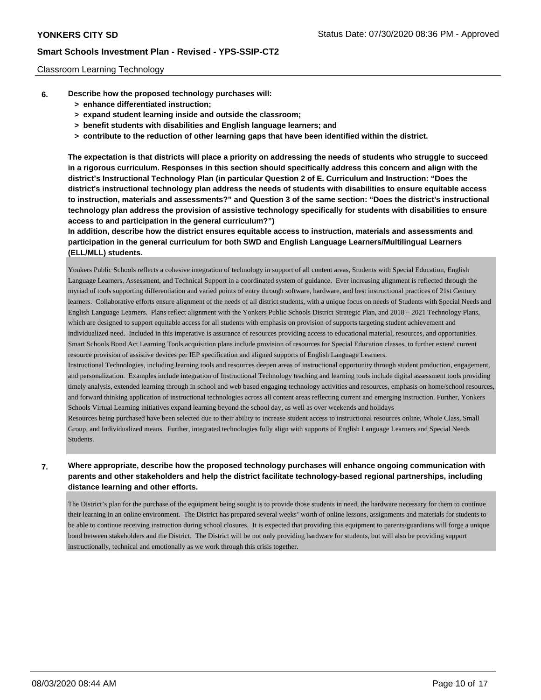### Classroom Learning Technology

- **6. Describe how the proposed technology purchases will:**
	- **> enhance differentiated instruction;**
	- **> expand student learning inside and outside the classroom;**
	- **> benefit students with disabilities and English language learners; and**
	- **> contribute to the reduction of other learning gaps that have been identified within the district.**

**The expectation is that districts will place a priority on addressing the needs of students who struggle to succeed in a rigorous curriculum. Responses in this section should specifically address this concern and align with the district's Instructional Technology Plan (in particular Question 2 of E. Curriculum and Instruction: "Does the district's instructional technology plan address the needs of students with disabilities to ensure equitable access to instruction, materials and assessments?" and Question 3 of the same section: "Does the district's instructional technology plan address the provision of assistive technology specifically for students with disabilities to ensure access to and participation in the general curriculum?")**

**In addition, describe how the district ensures equitable access to instruction, materials and assessments and participation in the general curriculum for both SWD and English Language Learners/Multilingual Learners (ELL/MLL) students.**

Yonkers Public Schools reflects a cohesive integration of technology in support of all content areas, Students with Special Education, English Language Learners, Assessment, and Technical Support in a coordinated system of guidance. Ever increasing alignment is reflected through the myriad of tools supporting differentiation and varied points of entry through software, hardware, and best instructional practices of 21st Century learners. Collaborative efforts ensure alignment of the needs of all district students, with a unique focus on needs of Students with Special Needs and English Language Learners. Plans reflect alignment with the Yonkers Public Schools District Strategic Plan, and 2018 – 2021 Technology Plans, which are designed to support equitable access for all students with emphasis on provision of supports targeting student achievement and individualized need. Included in this imperative is assurance of resources providing access to educational material, resources, and opportunities. Smart Schools Bond Act Learning Tools acquisition plans include provision of resources for Special Education classes, to further extend current resource provision of assistive devices per IEP specification and aligned supports of English Language Learners.

Instructional Technologies, including learning tools and resources deepen areas of instructional opportunity through student production, engagement, and personalization. Examples include integration of Instructional Technology teaching and learning tools include digital assessment tools providing timely analysis, extended learning through in school and web based engaging technology activities and resources, emphasis on home/school resources, and forward thinking application of instructional technologies across all content areas reflecting current and emerging instruction. Further, Yonkers Schools Virtual Learning initiatives expand learning beyond the school day, as well as over weekends and holidays

Resources being purchased have been selected due to their ability to increase student access to instructional resources online, Whole Class, Small Group, and Individualized means. Further, integrated technologies fully align with supports of English Language Learners and Special Needs Students.

## **7. Where appropriate, describe how the proposed technology purchases will enhance ongoing communication with parents and other stakeholders and help the district facilitate technology-based regional partnerships, including distance learning and other efforts.**

The District's plan for the purchase of the equipment being sought is to provide those students in need, the hardware necessary for them to continue their learning in an online environment. The District has prepared several weeks' worth of online lessons, assignments and materials for students to be able to continue receiving instruction during school closures. It is expected that providing this equipment to parents/guardians will forge a unique bond between stakeholders and the District. The District will be not only providing hardware for students, but will also be providing support instructionally, technical and emotionally as we work through this crisis together.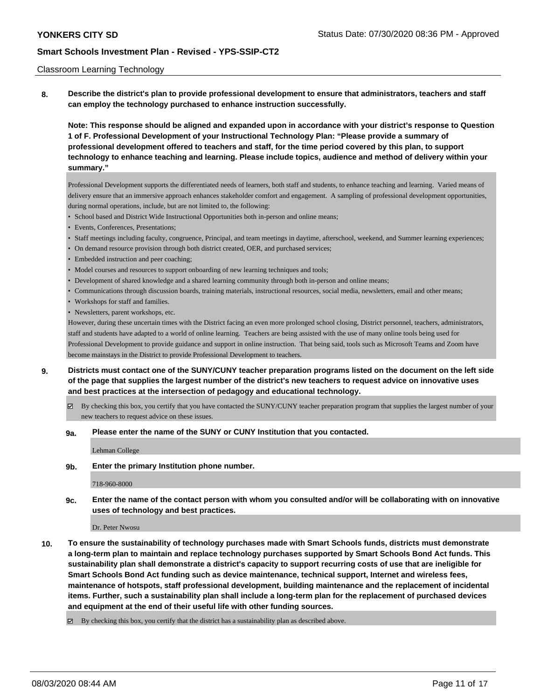#### Classroom Learning Technology

**8. Describe the district's plan to provide professional development to ensure that administrators, teachers and staff can employ the technology purchased to enhance instruction successfully.**

**Note: This response should be aligned and expanded upon in accordance with your district's response to Question 1 of F. Professional Development of your Instructional Technology Plan: "Please provide a summary of professional development offered to teachers and staff, for the time period covered by this plan, to support technology to enhance teaching and learning. Please include topics, audience and method of delivery within your summary."**

Professional Development supports the differentiated needs of learners, both staff and students, to enhance teaching and learning. Varied means of delivery ensure that an immersive approach enhances stakeholder comfort and engagement. A sampling of professional development opportunities, during normal operations, include, but are not limited to, the following:

- School based and District Wide Instructional Opportunities both in-person and online means;
- Events, Conferences, Presentations;
- Staff meetings including faculty, congruence, Principal, and team meetings in daytime, afterschool, weekend, and Summer learning experiences;
- On demand resource provision through both district created, OER, and purchased services;
- Embedded instruction and peer coaching;
- Model courses and resources to support onboarding of new learning techniques and tools;
- Development of shared knowledge and a shared learning community through both in-person and online means;
- Communications through discussion boards, training materials, instructional resources, social media, newsletters, email and other means;
- Workshops for staff and families.
- Newsletters, parent workshops, etc.

However, during these uncertain times with the District facing an even more prolonged school closing, District personnel, teachers, administrators, staff and students have adapted to a world of online learning. Teachers are being assisted with the use of many online tools being used for Professional Development to provide guidance and support in online instruction. That being said, tools such as Microsoft Teams and Zoom have become mainstays in the District to provide Professional Development to teachers.

- **9. Districts must contact one of the SUNY/CUNY teacher preparation programs listed on the document on the left side of the page that supplies the largest number of the district's new teachers to request advice on innovative uses and best practices at the intersection of pedagogy and educational technology.**
	- $\boxtimes$  By checking this box, you certify that you have contacted the SUNY/CUNY teacher preparation program that supplies the largest number of your new teachers to request advice on these issues.

#### **9a. Please enter the name of the SUNY or CUNY Institution that you contacted.**

Lehman College

### **9b. Enter the primary Institution phone number.**

718-960-8000

**9c. Enter the name of the contact person with whom you consulted and/or will be collaborating with on innovative uses of technology and best practices.**

Dr. Peter Nwosu

**10. To ensure the sustainability of technology purchases made with Smart Schools funds, districts must demonstrate a long-term plan to maintain and replace technology purchases supported by Smart Schools Bond Act funds. This sustainability plan shall demonstrate a district's capacity to support recurring costs of use that are ineligible for Smart Schools Bond Act funding such as device maintenance, technical support, Internet and wireless fees, maintenance of hotspots, staff professional development, building maintenance and the replacement of incidental items. Further, such a sustainability plan shall include a long-term plan for the replacement of purchased devices and equipment at the end of their useful life with other funding sources.**

By checking this box, you certify that the district has a sustainability plan as described above.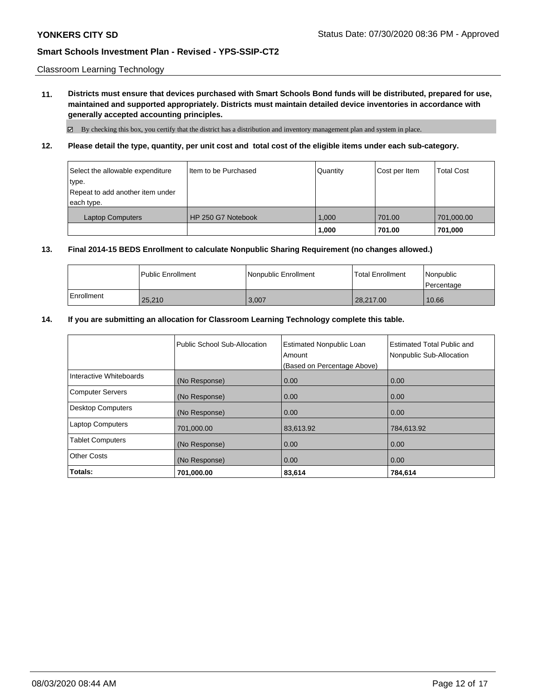Classroom Learning Technology

**11. Districts must ensure that devices purchased with Smart Schools Bond funds will be distributed, prepared for use, maintained and supported appropriately. Districts must maintain detailed device inventories in accordance with generally accepted accounting principles.**

 $\boxtimes$  By checking this box, you certify that the district has a distribution and inventory management plan and system in place.

**12. Please detail the type, quantity, per unit cost and total cost of the eligible items under each sub-category.**

| Select the allowable expenditure<br>∣type.<br>Repeat to add another item under<br>each type. | Item to be Purchased | Quantity | Cost per Item | <b>Total Cost</b> |
|----------------------------------------------------------------------------------------------|----------------------|----------|---------------|-------------------|
| <b>Laptop Computers</b>                                                                      | HP 250 G7 Notebook   | 1.000    | 701.00        | 701,000.00        |
|                                                                                              |                      | 1,000    | 701.00        | 701,000           |

#### **13. Final 2014-15 BEDS Enrollment to calculate Nonpublic Sharing Requirement (no changes allowed.)**

|              | <b>I Public Enrollment</b> | Nonpublic Enrollment | <b>Total Enrollment</b> | Nonpublic<br>l Percentage |
|--------------|----------------------------|----------------------|-------------------------|---------------------------|
| l Enrollment | 25,210                     | 3,007                | 28,217.00               | 10.66                     |

#### **14. If you are submitting an allocation for Classroom Learning Technology complete this table.**

|                          | Public School Sub-Allocation | <b>Estimated Nonpublic Loan</b><br>Amount<br>(Based on Percentage Above) | <b>Estimated Total Public and</b><br>Nonpublic Sub-Allocation |
|--------------------------|------------------------------|--------------------------------------------------------------------------|---------------------------------------------------------------|
| Interactive Whiteboards  | (No Response)                | 0.00                                                                     | 0.00                                                          |
| <b>Computer Servers</b>  | (No Response)                | 0.00                                                                     | 0.00                                                          |
| <b>Desktop Computers</b> | (No Response)                | 0.00                                                                     | 0.00                                                          |
| <b>Laptop Computers</b>  | 701,000.00                   | 83,613.92                                                                | 784,613.92                                                    |
| <b>Tablet Computers</b>  | (No Response)                | 0.00                                                                     | 0.00                                                          |
| <b>Other Costs</b>       | (No Response)                | 0.00                                                                     | 0.00                                                          |
| Totals:                  | 701,000.00                   | 83,614                                                                   | 784,614                                                       |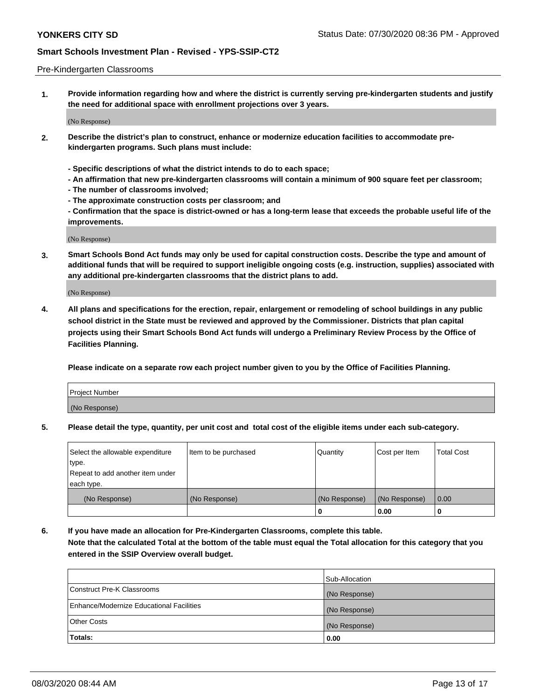#### Pre-Kindergarten Classrooms

**1. Provide information regarding how and where the district is currently serving pre-kindergarten students and justify the need for additional space with enrollment projections over 3 years.**

(No Response)

- **2. Describe the district's plan to construct, enhance or modernize education facilities to accommodate prekindergarten programs. Such plans must include:**
	- **Specific descriptions of what the district intends to do to each space;**
	- **An affirmation that new pre-kindergarten classrooms will contain a minimum of 900 square feet per classroom;**
	- **The number of classrooms involved;**
	- **The approximate construction costs per classroom; and**
	- **Confirmation that the space is district-owned or has a long-term lease that exceeds the probable useful life of the improvements.**

(No Response)

**3. Smart Schools Bond Act funds may only be used for capital construction costs. Describe the type and amount of additional funds that will be required to support ineligible ongoing costs (e.g. instruction, supplies) associated with any additional pre-kindergarten classrooms that the district plans to add.**

(No Response)

**4. All plans and specifications for the erection, repair, enlargement or remodeling of school buildings in any public school district in the State must be reviewed and approved by the Commissioner. Districts that plan capital projects using their Smart Schools Bond Act funds will undergo a Preliminary Review Process by the Office of Facilities Planning.**

**Please indicate on a separate row each project number given to you by the Office of Facilities Planning.**

| Project Number |  |
|----------------|--|
| (No Response)  |  |
|                |  |

**5. Please detail the type, quantity, per unit cost and total cost of the eligible items under each sub-category.**

| Select the allowable expenditure | Item to be purchased | Quantity      | Cost per Item | <b>Total Cost</b> |
|----------------------------------|----------------------|---------------|---------------|-------------------|
| type.                            |                      |               |               |                   |
| Repeat to add another item under |                      |               |               |                   |
| each type.                       |                      |               |               |                   |
| (No Response)                    | (No Response)        | (No Response) | (No Response) | 0.00              |
|                                  |                      | υ             | 0.00          |                   |

**6. If you have made an allocation for Pre-Kindergarten Classrooms, complete this table. Note that the calculated Total at the bottom of the table must equal the Total allocation for this category that you entered in the SSIP Overview overall budget.**

|                                          | Sub-Allocation |
|------------------------------------------|----------------|
| Construct Pre-K Classrooms               | (No Response)  |
| Enhance/Modernize Educational Facilities | (No Response)  |
| <b>Other Costs</b>                       | (No Response)  |
| Totals:                                  | 0.00           |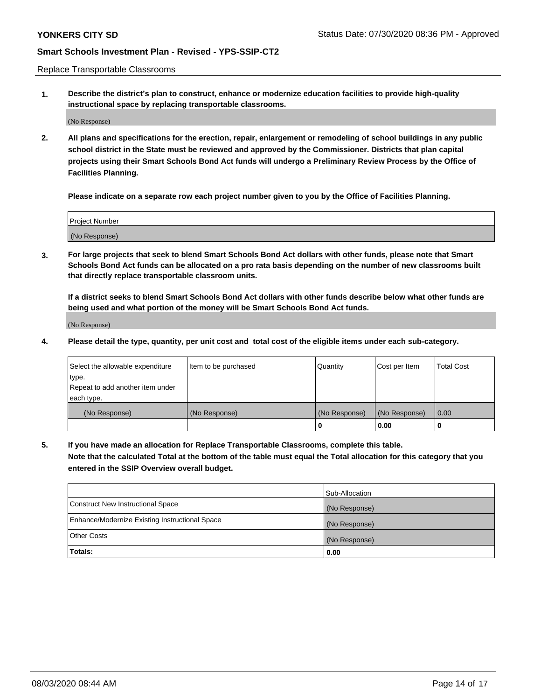Replace Transportable Classrooms

**1. Describe the district's plan to construct, enhance or modernize education facilities to provide high-quality instructional space by replacing transportable classrooms.**

(No Response)

**2. All plans and specifications for the erection, repair, enlargement or remodeling of school buildings in any public school district in the State must be reviewed and approved by the Commissioner. Districts that plan capital projects using their Smart Schools Bond Act funds will undergo a Preliminary Review Process by the Office of Facilities Planning.**

**Please indicate on a separate row each project number given to you by the Office of Facilities Planning.**

| Project Number |  |
|----------------|--|
|                |  |
|                |  |
|                |  |
|                |  |
| (No Response)  |  |
|                |  |
|                |  |
|                |  |

**3. For large projects that seek to blend Smart Schools Bond Act dollars with other funds, please note that Smart Schools Bond Act funds can be allocated on a pro rata basis depending on the number of new classrooms built that directly replace transportable classroom units.**

**If a district seeks to blend Smart Schools Bond Act dollars with other funds describe below what other funds are being used and what portion of the money will be Smart Schools Bond Act funds.**

(No Response)

**4. Please detail the type, quantity, per unit cost and total cost of the eligible items under each sub-category.**

| Select the allowable expenditure<br>∣type.     | Item to be purchased | Quantity      | Cost per Item | Total Cost |
|------------------------------------------------|----------------------|---------------|---------------|------------|
| Repeat to add another item under<br>each type. |                      |               |               |            |
| (No Response)                                  | (No Response)        | (No Response) | (No Response) | 0.00       |
|                                                |                      | u             | 0.00          |            |

**5. If you have made an allocation for Replace Transportable Classrooms, complete this table. Note that the calculated Total at the bottom of the table must equal the Total allocation for this category that you entered in the SSIP Overview overall budget.**

|                                                | Sub-Allocation |
|------------------------------------------------|----------------|
| Construct New Instructional Space              | (No Response)  |
| Enhance/Modernize Existing Instructional Space | (No Response)  |
| Other Costs                                    | (No Response)  |
| Totals:                                        | 0.00           |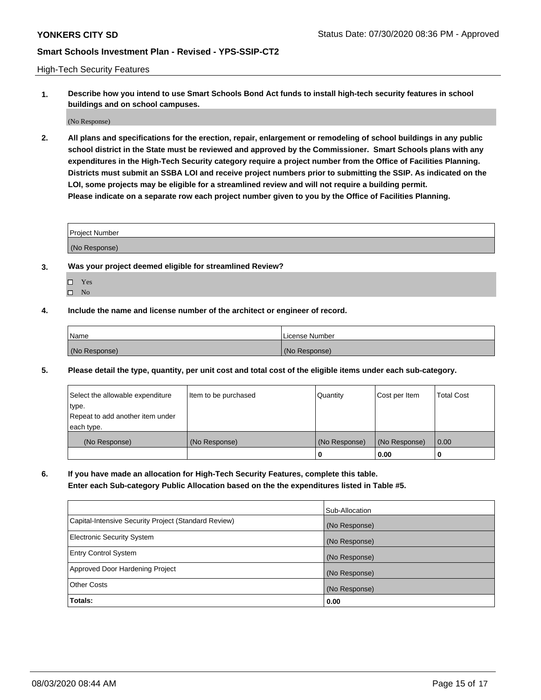High-Tech Security Features

**1. Describe how you intend to use Smart Schools Bond Act funds to install high-tech security features in school buildings and on school campuses.**

(No Response)

**2. All plans and specifications for the erection, repair, enlargement or remodeling of school buildings in any public school district in the State must be reviewed and approved by the Commissioner. Smart Schools plans with any expenditures in the High-Tech Security category require a project number from the Office of Facilities Planning. Districts must submit an SSBA LOI and receive project numbers prior to submitting the SSIP. As indicated on the LOI, some projects may be eligible for a streamlined review and will not require a building permit. Please indicate on a separate row each project number given to you by the Office of Facilities Planning.**

| <b>Project Number</b> |  |
|-----------------------|--|
| (No Response)         |  |

- **3. Was your project deemed eligible for streamlined Review?**
	- Yes
	- $\hfill \square$  No
- **4. Include the name and license number of the architect or engineer of record.**

| Name          | License Number |
|---------------|----------------|
| (No Response) | (No Response)  |

**5. Please detail the type, quantity, per unit cost and total cost of the eligible items under each sub-category.**

| Select the allowable expenditure | Item to be purchased | Quantity      | Cost per Item | <b>Total Cost</b> |
|----------------------------------|----------------------|---------------|---------------|-------------------|
| type.                            |                      |               |               |                   |
| Repeat to add another item under |                      |               |               |                   |
| each type.                       |                      |               |               |                   |
| (No Response)                    | (No Response)        | (No Response) | (No Response) | 0.00              |
|                                  |                      | 0             | 0.00          |                   |

**6. If you have made an allocation for High-Tech Security Features, complete this table.**

**Enter each Sub-category Public Allocation based on the the expenditures listed in Table #5.**

|                                                      | Sub-Allocation |
|------------------------------------------------------|----------------|
| Capital-Intensive Security Project (Standard Review) | (No Response)  |
| <b>Electronic Security System</b>                    | (No Response)  |
| <b>Entry Control System</b>                          | (No Response)  |
| Approved Door Hardening Project                      | (No Response)  |
| <b>Other Costs</b>                                   | (No Response)  |
| Totals:                                              | 0.00           |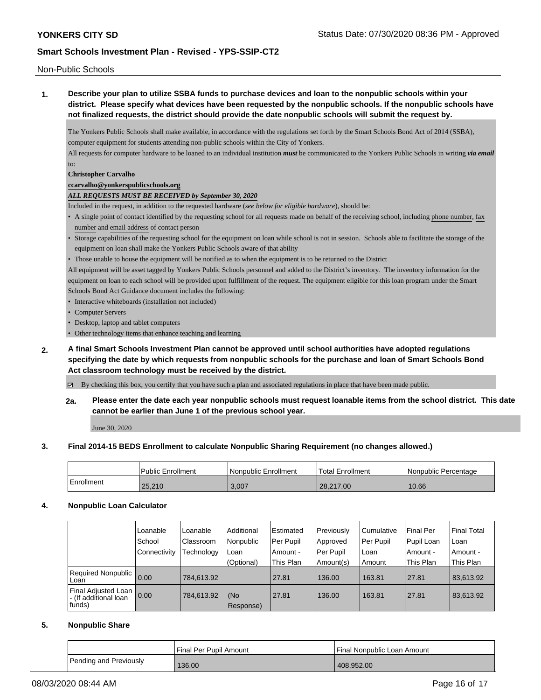Non-Public Schools

**1. Describe your plan to utilize SSBA funds to purchase devices and loan to the nonpublic schools within your district. Please specify what devices have been requested by the nonpublic schools. If the nonpublic schools have not finalized requests, the district should provide the date nonpublic schools will submit the request by.**

The Yonkers Public Schools shall make available, in accordance with the regulations set forth by the Smart Schools Bond Act of 2014 (SSBA), computer equipment for students attending non-public schools within the City of Yonkers.

All requests for computer hardware to be loaned to an individual institution *must* be communicated to the Yonkers Public Schools in writing *via email* to:

#### **Christopher Carvalho**

### **ccarvalho@yonkerspublicschools.org**

### *ALL REQUESTS MUST BE RECEIVED by September 30, 2020*

Included in the request, in addition to the requested hardware (*see below for eligible hardware*), should be:

- A single point of contact identified by the requesting school for all requests made on behalf of the receiving school, including phone number, fax number and email address of contact person
- Storage capabilities of the requesting school for the equipment on loan while school is not in session. Schools able to facilitate the storage of the equipment on loan shall make the Yonkers Public Schools aware of that ability
- Those unable to house the equipment will be notified as to when the equipment is to be returned to the District

All equipment will be asset tagged by Yonkers Public Schools personnel and added to the District's inventory. The inventory information for the equipment on loan to each school will be provided upon fulfillment of the request. The equipment eligible for this loan program under the Smart Schools Bond Act Guidance document includes the following:

- Interactive whiteboards (installation not included)
- Computer Servers
- Desktop, laptop and tablet computers
- Other technology items that enhance teaching and learning
- **2. A final Smart Schools Investment Plan cannot be approved until school authorities have adopted regulations specifying the date by which requests from nonpublic schools for the purchase and loan of Smart Schools Bond Act classroom technology must be received by the district.**

By checking this box, you certify that you have such a plan and associated regulations in place that have been made public.

**2a. Please enter the date each year nonpublic schools must request loanable items from the school district. This date cannot be earlier than June 1 of the previous school year.**

June 30, 2020

### **3. Final 2014-15 BEDS Enrollment to calculate Nonpublic Sharing Requirement (no changes allowed.)**

|            | Public Enrollment | l Nonpublic Enrollment | Total Enrollment | l Nonpublic Percentage |
|------------|-------------------|------------------------|------------------|------------------------|
| Enrollment | 25,210            | 3,007                  | 28,217.00        | 10.66                  |

# **4. Nonpublic Loan Calculator**

|                                                        | Loanable     | Loanable   | Additional       | Estimated | Previously | l Cumulative | Final Per  | <b>Final Total</b> |
|--------------------------------------------------------|--------------|------------|------------------|-----------|------------|--------------|------------|--------------------|
|                                                        | School       | Classroom  | Nonpublic        | Per Pupil | Approved   | Per Pupil    | Pupil Loan | Loan               |
|                                                        | Connectivity | Technology | Loan             | Amount -  | Per Pupil  | l Loan       | Amount -   | Amount -           |
|                                                        |              |            | (Optional)       | This Plan | Amount(s)  | Amount       | This Plan  | This Plan          |
| <b>Required Nonpublic</b><br>Loan                      | 0.00         | 784.613.92 |                  | 27.81     | 136.00     | 163.81       | 27.81      | 83,613.92          |
| Final Adjusted Loan<br>- (If additional loan<br>funds) | 0.00         | 784,613.92 | (No<br>Response) | 27.81     | 136.00     | 163.81       | 27.81      | 83,613.92          |

### **5. Nonpublic Share**

|                        | Final Per Pupil Amount | Final Nonpublic Loan Amount |
|------------------------|------------------------|-----------------------------|
| Pending and Previously | 136.00                 | 408.952.00                  |